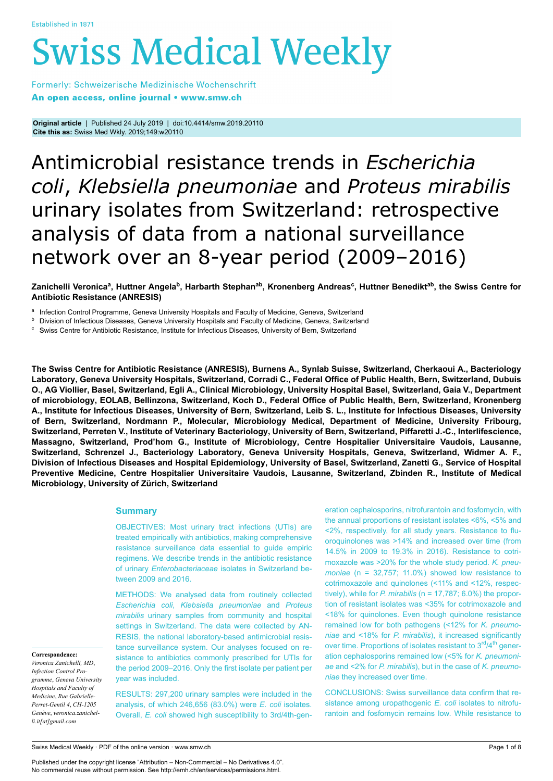# **Swiss Medical Weekly**

Formerly: Schweizerische Medizinische Wochenschrift An open access, online journal • www.smw.ch

**Original article** | Published 24 July 2019 | doi:10.4414/smw.2019.20110 **Cite this as:** Swiss Med Wkly. 2019;149:w20110

# Antimicrobial resistance trends in *Escherichia coli*, *Klebsiella pneumoniae* and *Proteus mirabilis* urinary isolates from Switzerland: retrospective analysis of data from a national surveillance network over an 8-year period (2009–2016)

Zanichelli Veronica<sup>a</sup>, Huttner Angela<sup>b</sup>, Harbarth Stephan<sup>ab</sup>, Kronenberg Andreas<sup>c</sup>, Huttner Benedikt<sup>ab</sup>, the Swiss Centre for **Antibiotic Resistance (ANRESIS)**

a Infection Control Programme, Geneva University Hospitals and Faculty of Medicine, Geneva, Switzerland

**b** Division of Infectious Diseases, Geneva University Hospitals and Faculty of Medicine, Geneva, Switzerland

<sup>c</sup> Swiss Centre for Antibiotic Resistance, Institute for Infectious Diseases, University of Bern, Switzerland

**The Swiss Centre for Antibiotic Resistance (ANRESIS), Burnens A., Synlab Suisse, Switzerland, Cherkaoui A., Bacteriology Laboratory, Geneva University Hospitals, Switzerland, Corradi C., Federal Office of Public Health, Bern, Switzerland, Dubuis O., AG Viollier, Basel, Switzerland, Egli A., Clinical Microbiology, University Hospital Basel, Switzerland, Gaia V., Department of microbiology, EOLAB, Bellinzona, Switzerland, Koch D., Federal Office of Public Health, Bern, Switzerland, Kronenberg A., Institute for Infectious Diseases, University of Bern, Switzerland, Leib S. L., Institute for Infectious Diseases, University of Bern, Switzerland, Nordmann P., Molecular, Microbiology Medical, Department of Medicine, University Fribourg, Switzerland, Perreten V., Institute of Veterinary Bacteriology, University of Bern, Switzerland, Piffaretti J.-C., Interlifescience, Massagno, Switzerland, Prod'hom G., Institute of Microbiology, Centre Hospitalier Universitaire Vaudois, Lausanne, Switzerland, Schrenzel J., Bacteriology Laboratory, Geneva University Hospitals, Geneva, Switzerland, Widmer A. F., Division of Infectious Diseases and Hospital Epidemiology, University of Basel, Switzerland, Zanetti G., Service of Hospital Preventive Medicine, Centre Hospitalier Universitaire Vaudois, Lausanne, Switzerland, Zbinden R., Institute of Medical Microbiology, University of Zürich, Switzerland**

# **Summary**

OBJECTIVES: Most urinary tract infections (UTIs) are treated empirically with antibiotics, making comprehensive resistance surveillance data essential to guide empiric regimens. We describe trends in the antibiotic resistance of urinary *Enterobacteriaceae* isolates in Switzerland between 2009 and 2016.

METHODS: We analysed data from routinely collected *Escherichia coli*, *Klebsiella pneumoniae* and *Proteus mirabilis* urinary samples from community and hospital settings in Switzerland. The data were collected by AN-RESIS, the national laboratory-based antimicrobial resistance surveillance system. Our analyses focused on resistance to antibiotics commonly prescribed for UTIs for the period 2009–2016. Only the first isolate per patient per year was included.

RESULTS: 297,200 urinary samples were included in the analysis, of which 246,656 (83.0%) were *E. coli* isolates. Overall, *E. coli* showed high susceptibility to 3rd/4th-generation cephalosporins, nitrofurantoin and fosfomycin, with the annual proportions of resistant isolates <6%, <5% and <2%, respectively, for all study years. Resistance to fluoroquinolones was >14% and increased over time (from 14.5% in 2009 to 19.3% in 2016). Resistance to cotrimoxazole was >20% for the whole study period. *K. pneumoniae* (n = 32,757; 11.0%) showed low resistance to cotrimoxazole and quinolones (<11% and <12%, respectively), while for *P. mirabilis* (n = 17,787; 6.0%) the proportion of resistant isolates was <35% for cotrimoxazole and <18% for quinolones. Even though quinolone resistance remained low for both pathogens (<12% for *K. pneumoniae* and <18% for *P. mirabilis*), it increased significantly over time. Proportions of isolates resistant to  $3<sup>rd</sup>/4<sup>th</sup>$  generation cephalosporins remained low (<5% for *K. pneumoniae* and <2% for *P. mirabilis*), but in the case of *K. pneumoniae* they increased over time.

CONCLUSIONS: Swiss surveillance data confirm that resistance among uropathogenic *E. coli* isolates to nitrofurantoin and fosfomycin remains low. While resistance to

**Correspondence:**

*Veronica Zanichelli, MD*, *Infection Control Programme*, *Geneva University Hospitals and Faculty of Medicine*, *Rue Gabrielle-Perret-Gentil 4*, *CH-1205 Genève*, *veronica.zanichelli.it[at]gmail.com*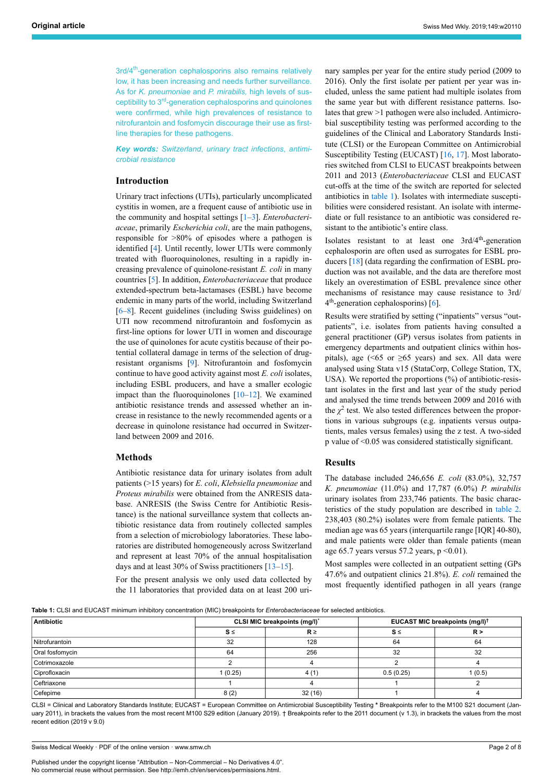3rd/4<sup>th</sup>-generation cephalosporins also remains relatively low, it has been increasing and needs further surveillance. As for *K. pneumoniae* and *P. mirabilis,* high levels of susceptibility to 3<sup>rd</sup>-generation cephalosporins and quinolones were confirmed, while high prevalences of resistance to nitrofurantoin and fosfomycin discourage their use as firstline therapies for these pathogens.

*Key words: Switzerland*, *urinary tract infections*, *antimicrobial resistance*

# **Introduction**

Urinary tract infections (UTIs), particularly uncomplicated cystitis in women, are a frequent cause of antibiotic use in the community and hospital settings [[1](#page-7-0)–[3](#page-7-1)]. *Enterobacteriaceae*, primarily *Escherichia coli*, are the main pathogens, responsible for >80% of episodes where a pathogen is identified [\[4\]](#page-7-2). Until recently, lower UTIs were commonly treated with fluoroquinolones, resulting in a rapidly increasing prevalence of quinolone-resistant *E. coli* in many countries [[5](#page-7-3)]. In addition, *Enterobacteriaceae* that produce extended-spectrum beta-lactamases (ESBL) have become endemic in many parts of the world, including Switzerland [[6](#page-7-4)–[8](#page-7-5)]. Recent guidelines (including Swiss guidelines) on UTI now recommend nitrofurantoin and fosfomycin as first-line options for lower UTI in women and discourage the use of quinolones for acute cystitis because of their potential collateral damage in terms of the selection of drugresistant organisms [[9](#page-7-6)]. Nitrofurantoin and fosfomycin continue to have good activity against most *E. coli* isolates, including ESBL producers, and have a smaller ecologic impact than the fluoroquinolones  $[10-12]$  $[10-12]$  $[10-12]$ . We examined antibiotic resistance trends and assessed whether an increase in resistance to the newly recommended agents or a decrease in quinolone resistance had occurred in Switzerland between 2009 and 2016.

## **Methods**

Antibiotic resistance data for urinary isolates from adult patients (>15 years) for *E. coli*, *Klebsiella pneumoniae* and *Proteus mirabilis* were obtained from the ANRESIS database. ANRESIS (the Swiss Centre for Antibiotic Resistance) is the national surveillance system that collects antibiotic resistance data from routinely collected samples from a selection of microbiology laboratories. These laboratories are distributed homogeneously across Switzerland and represent at least 70% of the annual hospitalisation days and at least 30% of Swiss practitioners [\[13](#page-7-9)–[15\]](#page-7-10).

For the present analysis we only used data collected by the 11 laboratories that provided data on at least 200 urinary samples per year for the entire study period (2009 to 2016). Only the first isolate per patient per year was included, unless the same patient had multiple isolates from the same year but with different resistance patterns. Isolates that grew >1 pathogen were also included. Antimicrobial susceptibility testing was performed according to the guidelines of the Clinical and Laboratory Standards Institute (CLSI) or the European Committee on Antimicrobial Susceptibility Testing (EUCAST) [\[16](#page-7-11), [17](#page-7-12)]. Most laboratories switched from CLSI to EUCAST breakpoints between 2011 and 2013 (*Enterobacteriaceae* CLSI and EUCAST cut-offs at the time of the switch are reported for selected antibiotics in [table 1\)](#page-1-0). Isolates with intermediate susceptibilities were considered resistant. An isolate with intermediate or full resistance to an antibiotic was considered resistant to the antibiotic's entire class.

Isolates resistant to at least one 3rd/4th-generation cephalosporin are often used as surrogates for ESBL producers [[18\]](#page-7-13) (data regarding the confirmation of ESBL production was not available, and the data are therefore most likely an overestimation of ESBL prevalence since other mechanisms of resistance may cause resistance to 3rd/ 4 th-generation cephalosporins) [[6](#page-7-4)].

Results were stratified by setting ("inpatients" versus "outpatients", i.e. isolates from patients having consulted a general practitioner (GP) versus isolates from patients in emergency departments and outpatient clinics within hospitals), age (<65 or  $\geq$ 65 years) and sex. All data were analysed using Stata v15 (StataCorp, College Station, TX, USA). We reported the proportions (%) of antibiotic-resistant isolates in the first and last year of the study period and analysed the time trends between 2009 and 2016 with the  $\chi^2$  test. We also tested differences between the proportions in various subgroups (e.g. inpatients versus outpatients, males versus females) using the z test. A two-sided p value of <0.05 was considered statistically significant.

# **Results**

The database included 246,656 *E. coli* (83.0%), 32,757 *K. pneumoniae* (11.0%) and 17,787 (6.0%) *P. mirabilis* urinary isolates from 233,746 patients. The basic characteristics of the study population are described in [table 2](#page-2-0). 238,403 (80.2%) isolates were from female patients. The median age was 65 years (interquartile range [IQR] 40-80), and male patients were older than female patients (mean age 65.7 years versus 57.2 years,  $p \le 0.01$ ).

Most samples were collected in an outpatient setting (GPs 47.6% and outpatient clinics 21.8%). *E. coli* remained the most frequently identified pathogen in all years (range

<span id="page-1-0"></span>

|  |  |  |  |  | Table 1: CLSI and EUCAST minimum inhibitory concentration (MIC) breakpoints for <i>Enterobacteriaceae</i> for selected antibiotics. |  |
|--|--|--|--|--|-------------------------------------------------------------------------------------------------------------------------------------|--|
|--|--|--|--|--|-------------------------------------------------------------------------------------------------------------------------------------|--|

| Antibiotic      |          | CLSI MIC breakpoints (mg/l)* | EUCAST MIC breakpoints (mg/l) <sup>†</sup> |        |  |
|-----------------|----------|------------------------------|--------------------------------------------|--------|--|
|                 | $S \leq$ | $R \geq$                     | $S \le$                                    | R >    |  |
| Nitrofurantoin  | 32       | 128                          | 64                                         | 64     |  |
| Oral fosfomycin | 64       | 256                          | 32                                         | 32     |  |
| Cotrimoxazole   |          |                              |                                            |        |  |
| Ciprofloxacin   | 1(0.25)  | 4 (1                         | 0.5(0.25)                                  | 1(0.5) |  |
| Ceftriaxone     |          |                              |                                            |        |  |
| Cefepime        | 8(2)     | 32(16)                       |                                            |        |  |

CLSI = Clinical and Laboratory Standards Institute; EUCAST = European Committee on Antimicrobial Susceptibility Testing **\*** Breakpoints refer to the M100 S21 document (January 2011), in brackets the values from the most recent M100 S29 edition (January 2019). † Breakpoints refer to the 2011 document (v 1.3), in brackets the values from the most recent edition (2019 v 9.0)

Swiss Medical Weekly · PDF of the online version · www.smw.ch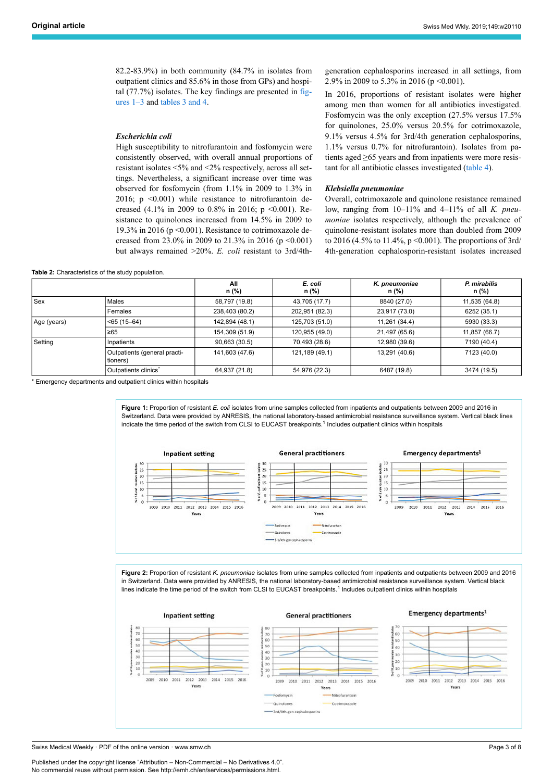82.2-83.9%) in both community (84.7% in isolates from outpatient clinics and 85.6% in those from GPs) and hospital (77.7%) isolates. The key findings are presented in [fig](#page-2-1)[ures 1–3](#page-2-1) and [tables 3 and 4.](#page-4-0)

## *Escherichia coli*

High susceptibility to nitrofurantoin and fosfomycin were consistently observed, with overall annual proportions of resistant isolates <5% and <2% respectively, across all settings. Nevertheless, a significant increase over time was observed for fosfomycin (from 1.1% in 2009 to 1.3% in 2016;  $p \leq 0.001$ ) while resistance to nitrofurantoin decreased (4.1% in 2009 to 0.8% in 2016; p <0.001). Resistance to quinolones increased from 14.5% in 2009 to 19.3% in 2016 (p <0.001). Resistance to cotrimoxazole decreased from 23.0% in 2009 to 21.3% in 2016 (p <0.001) but always remained >20%. *E. coli* resistant to 3rd/4th-

#### **Table 2:** Characteristics of the study population.

generation cephalosporins increased in all settings, from 2.9% in 2009 to 5.3% in 2016 (p <0.001).

In 2016, proportions of resistant isolates were higher among men than women for all antibiotics investigated. Fosfomycin was the only exception (27.5% versus 17.5% for quinolones, 25.0% versus 20.5% for cotrimoxazole, 9.1% versus 4.5% for 3rd/4th generation cephalosporins, 1.1% versus 0.7% for nitrofurantoin). Isolates from patients aged ≥65 years and from inpatients were more resistant for all antibiotic classes investigated ([table 4](#page-5-0)).

#### *Klebsiella pneumoniae*

Overall, cotrimoxazole and quinolone resistance remained low, ranging from 10–11% and 4–11% of all *K. pneumoniae* isolates respectively, although the prevalence of quinolone-resistant isolates more than doubled from 2009 to 2016 (4.5% to 11.4%,  $p \le 0.001$ ). The proportions of 3rd/ 4th-generation cephalosporin-resistant isolates increased

<span id="page-2-0"></span>

|             |                                          | All<br>n (%)   | E. coli<br>n (%)                | K. pneumoniae<br>n (%) | P. mirabilis<br>n (%) |
|-------------|------------------------------------------|----------------|---------------------------------|------------------------|-----------------------|
| l Sex       | Males                                    | 58,797 (19.8)  | 43,705 (17.7)                   | 8840 (27.0)            | 11,535 (64.8)         |
|             | Females                                  | 238,403 (80.2) | 202,951 (82.3)                  | 23,917 (73.0)          | 6252 (35.1)           |
| Age (years) | $<$ 65 (15–64)                           | 142,894 (48.1) | 11,261 (34.4)<br>125,703 (51.0) |                        | 5930 (33.3)           |
|             | $\geq 65$                                | 154,309 (51.9) | 120,955 (49.0)                  | 21,497 (65.6)          | 11,857 (66.7)         |
| Setting     | l Inpatients                             | 90,663 (30.5)  | 70,493 (28.6)                   | 12,980 (39.6)          | 7190 (40.4)           |
|             | Outpatients (general practi-<br>tioners) | 141,603 (47.6) | 121,189 (49.1)                  | 13,291 (40.6)          | 7123 (40.0)           |
|             | Outpatients clinics <sup>*</sup>         | 64,937 (21.8)  | 54,976 (22.3)                   | 6487 (19.8)            | 3474 (19.5)           |

<span id="page-2-1"></span>Emergency departments and outpatient clinics within hospitals

**Figure 1:** Proportion of resistant *F. coli* isolates from urine samples collected from inpatients and outpatients between 2009 and 2016 in Switzerland. Data were provided by ANRESIS, the national laboratory-based antimicrobial resistance surveillance system. Vertical black lines indicate the time period of the switch from CLSI to EUCAST breakpoints.<sup>1</sup> Includes outpatient clinics within hospitals



**Figure 2:** Proportion of resistant *K. pneumoniae* isolates from urine samples collected from inpatients and outpatients between 2009 and 2016 in Switzerland. Data were provided by ANRESIS, the national laboratory-based antimicrobial resistance surveillance system. Vertical black lines indicate the time period of the switch from CLSI to EUCAST breakpoints.<sup>1</sup> Includes outpatient clinics within hospitals



Swiss Medical Weekly · PDF of the online version · www.smw.ch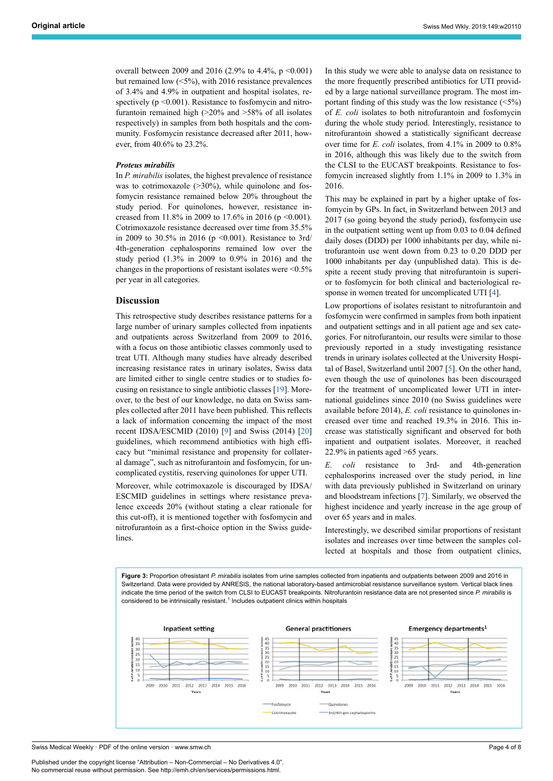overall between 2009 and 2016 (2.9% to 4.4%,  $p \le 0.001$ ) but remained low (<5%), with 2016 resistance prevalences of 3.4% and 4.9% in outpatient and hospital isolates, respectively  $(p \le 0.001)$ . Resistance to fosfomycin and nitrofurantoin remained high (>20% and >58% of all isolates respectively) in samples from both hospitals and the community. Fosfomycin resistance decreased after 2011, however, from 40.6% to 23.2%.

#### *Proteus mirabilis*

In *P. mirabilis* isolates, the highest prevalence of resistance was to cotrimoxazole  $(>30\%)$ , while quinolone and fosfomycin resistance remained below 20% throughout the study period. For quinolones, however, resistance increased from 11.8% in 2009 to 17.6% in 2016 (p <0.001). Cotrimoxazole resistance decreased over time from 35.5% in 2009 to 30.5% in 2016 (p <0.001). Resistance to 3rd/ 4th-generation cephalosporins remained low over the study period (1.3% in 2009 to 0.9% in 2016) and the changes in the proportions of resistant isolates were <0.5% per year in all categories.

# **Discussion**

This retrospective study describes resistance patterns for a large number of urinary samples collected from inpatients and outpatients across Switzerland from 2009 to 2016, with a focus on those antibiotic classes commonly used to treat UTI. Although many studies have already described increasing resistance rates in urinary isolates, Swiss data are limited either to single centre studies or to studies focusing on resistance to single antibiotic classes [\[19](#page-7-14)]. Moreover, to the best of our knowledge, no data on Swiss samples collected after 2011 have been published. This reflects a lack of information concerning the impact of the most recent IDSA/ESCMID (2010) [[9](#page-7-6)] and Swiss (2014) [[20\]](#page-7-15) guidelines, which recommend antibiotics with high efficacy but "minimal resistance and propensity for collateral damage", such as nitrofurantoin and fosfomycin, for uncomplicated cystitis, reserving quinolones for upper UTI.

Moreover, while cotrimoxazole is discouraged by IDSA/ ESCMID guidelines in settings where resistance prevalence exceeds 20% (without stating a clear rationale for this cut-off), it is mentioned together with fosfomycin and nitrofurantoin as a first-choice option in the Swiss guidelines.

In this study we were able to analyse data on resistance to the more frequently prescribed antibiotics for UTI provided by a large national surveillance program. The most important finding of this study was the low resistance (<5%) of *E. coli* isolates to both nitrofurantoin and fosfomycin during the whole study period. Interestingly, resistance to nitrofurantoin showed a statistically significant decrease over time for *E. coli* isolates, from 4.1% in 2009 to 0.8% in 2016, although this was likely due to the switch from the CLSI to the EUCAST breakpoints. Resistance to fosfomycin increased slightly from 1.1% in 2009 to 1.3% in 2016.

This may be explained in part by a higher uptake of fosfomycin by GPs. In fact, in Switzerland between 2013 and 2017 (so going beyond the study period), fosfomycin use in the outpatient setting went up from 0.03 to 0.04 defined daily doses (DDD) per 1000 inhabitants per day, while nitrofurantoin use went down from 0.23 to 0.20 DDD per 1000 inhabitants per day (unpublished data). This is despite a recent study proving that nitrofurantoin is superior to fosfomycin for both clinical and bacteriological re-sponse in women treated for uncomplicated UTI [[4](#page-7-2)].

Low proportions of isolates resistant to nitrofurantoin and fosfomycin were confirmed in samples from both inpatient and outpatient settings and in all patient age and sex categories. For nitrofurantoin, our results were similar to those previously reported in a study investigating resistance trends in urinary isolates collected at the University Hospital of Basel, Switzerland until 2007 [\[5\]](#page-7-3). On the other hand, even though the use of quinolones has been discouraged for the treatment of uncomplicated lower UTI in international guidelines since 2010 (no Swiss guidelines were available before 2014), *E. coli* resistance to quinolones increased over time and reached 19.3% in 2016. This increase was statistically significant and observed for both inpatient and outpatient isolates. Moreover, it reached 22.9% in patients aged >65 years.

*E. coli* resistance to 3rd- and 4th-generation cephalosporins increased over the study period, in line with data previously published in Switzerland on urinary and bloodstream infections [\[7\]](#page-7-16). Similarly, we observed the highest incidence and yearly increase in the age group of over 65 years and in males.

Interestingly, we described similar proportions of resistant isolates and increases over time between the samples collected at hospitals and those from outpatient clinics,

**Figure 3:** Proportion ofresistant *P. mirabilis* isolates from urine samples collected from inpatients and outpatients between 2009 and 2016 in Switzerland. Data were provided by ANRESIS, the national laboratory-based antimicrobial resistance surveillance system. Vertical black lines indicate the time period of the switch from CLSI to EUCAST breakpoints. Nitrofurantoin resistance data are not presented since *P. mirabilis* is considered to be intrinsically resistant. $1$  Includes outpatient clinics within hospitals



Swiss Medical Weekly · PDF of the online version · www.smw.ch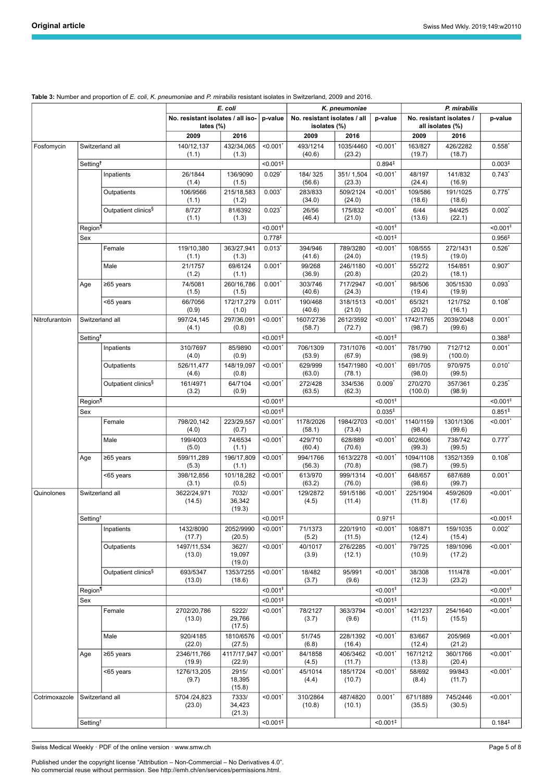| No. resistant isolates / all<br>No. resistant isolates / all iso-<br>No. resistant isolates /<br>p-value<br>p-value<br>p-value<br>lates (%)<br>isolates (%)<br>all isolates (%)<br>2009<br>2016<br>2009<br>2016<br>2009<br>2016<br>< 0.001'<br>Switzerland all<br>140/12,137<br>432/34,065<br>< 0.001<br>493/1214<br>1035/4460<br>163/827<br>426/2282<br>$0.558$ <sup>*</sup><br>Fosfomycin<br>(40.6)<br>(1.1)<br>(1.3)<br>(23.2)<br>(19.7)<br>(18.7)<br>Setting <sup>t</sup><br>0.894 <sup>‡</sup><br>$< 0.001$ <sup>‡</sup><br>0.003 <sup>‡</sup><br>351/1,504<br>$0.743*$<br>Inpatients<br>26/1844<br>136/9090<br>$0.029$ <sup>*</sup><br>184/325<br>$< 0.001$ <sup>*</sup><br>48/197<br>141/832<br>(56.6)<br>(23.3)<br>(1.4)<br>(1.5)<br>(24.4)<br>(16.9)<br>$0.775$ <sup>*</sup><br>106/9566<br>215/18,583<br>0.003<br>509/2124<br>< 0.001'<br>109/586<br>191/1025<br>Outpatients<br>283/833<br>(1.2)<br>(34.0)<br>(24.0)<br>(18.6)<br>(18.6)<br>(1.1)<br>Outpatient clinics <sup>§</sup><br>0.002<br>8/727<br>81/6392<br>$0.023$ <sup>*</sup><br>26/56<br>175/832<br>< 0.001'<br>6/44<br>94/425<br>(1.3)<br>(46.4)<br>(21.0)<br>(13.6)<br>(22.1)<br>(1.1)<br>Region<br>$< 0.001$ <sup>II</sup><br>$< 0.001$ <sup>II</sup><br>$< 0.001$ <sup>II</sup><br>0.778 <sup>‡</sup><br>0.956 <sup>‡</sup><br>$< 0.001$ <sup>‡</sup><br>Sex<br>Female<br>119/10,380<br>363/27,941<br>0.013<br>394/946<br>789/3280<br>< 0.001<br>108/555<br>272/1431<br>$0.526$ <sup>*</sup><br>(1.3)<br>(41.6)<br>(24.0)<br>(19.5)<br>(19.0)<br>(1.1)<br>69/6124<br>Male<br>21/1757<br>$0.001$ <sup>*</sup><br>99/268<br>246/1180<br>< 0.001'<br>0.907<br>55/272<br>154/851<br>(1.2)<br>(1.1)<br>(36.9)<br>(20.8)<br>(20.2)<br>(18.1)<br>260/16,786<br>0.001<br>717/2947<br>$0.093^{*}$<br>74/5081<br>303/746<br>$< 0.001$ <sup>*</sup><br>98/506<br>305/1530<br>Age<br>≥65 years<br>(40.6)<br>(24.3)<br>(19.4)<br>(19.9)<br>(1.5)<br>(1.5)<br>$0.108^{*}$<br>66/7056<br>172/17,279<br>$0.011$ <sup>*</sup><br>190/468<br>318/1513<br>< 0.001'<br>65/321<br>121/752<br><65 years<br>(20.2)<br>(0.9)<br>(1.0)<br>(40.6)<br>(21.0)<br>(16.1)<br>Switzerland all<br>997/24,145<br>297/36,091<br>$< 0.001$ <sup>*</sup><br>1607/2736<br>2612/3592<br>< 0.001'<br>1742/1765<br>2039/2048<br>$0.001^*$<br>Nitrofurantoin<br>(4.1)<br>(0.8)<br>(58.7)<br>(72.7)<br>(98.7)<br>(99.6)<br>Setting <sup>t</sup><br>$< 0.001$ <sup>‡</sup><br>0.388 <sup>‡</sup><br>$< 0.001$ <sup>‡</sup><br>Inpatients<br>310/7697<br>85/9890<br>706/1309<br>731/1076<br>781/790<br>712/712<br>$0.001^*$<br>< 0.001<br>$< 0.001$ <sup>*</sup><br>(4.0)<br>(0.9)<br>(53.9)<br>(67.9)<br>(98.9)<br>(100.0)<br>$0.010^*$<br>Outpatients<br>526/11,477<br>148/19,097<br>< 0.001<br>629/999<br>1547/1980<br>< 0.001'<br>691/705<br>970/975<br>(4.6)<br>(0.8)<br>(63.0)<br>(78.1)<br>(98.0)<br>(99.5)<br>64/7104<br>161/4971<br>< 0.001<br>334/536<br>$0.009$ <sup>*</sup><br>270/270<br>0.235<br>Outpatient clinics <sup>§</sup><br>272/428<br>357/361<br>(3.2)<br>(0.9)<br>(63.5)<br>(62.3)<br>(100.0)<br>(98.9)<br>Region<br>$< 0.001$ <sup>II</sup><br>$< 0.001$ <sup>II</sup><br>$< 0.001$ <sup>II</sup><br>0.035 <sup>‡</sup><br>0.851 <sup>‡</sup><br>$< 0.001$ <sup>‡</sup><br>Sex<br>< 0.001'<br>$< 0.001$ <sup>*</sup><br>Female<br>798/20,142<br>223/29,557<br>< 0.001'<br>1178/2026<br>1984/2703<br>1140/1159<br>1301/1306<br>(4.0)<br>(0.7)<br>(58.1)<br>(73.4)<br>(98.4)<br>(99.6)<br>74/6534<br>Male<br>199/4003<br>$< 0.001$ <sup>*</sup><br>429/710<br>628/889<br>< 0.001'<br>602/606<br>738/742<br>$0.777*$<br>(5.0)<br>(1.1)<br>(60.4)<br>(70.6)<br>(99.3)<br>(99.5)<br>< 0.001<br>$0.108^{*}$<br>599/11,289<br>196/17,809<br>994/1766<br>1613/2278<br>< 0.001'<br>1094/1108<br>1352/1359<br>≥65 years<br>Age<br>(5.3)<br>(1.1)<br>(56.3)<br>(70.8)<br>(98.7)<br>(99.5)<br>398/12,856<br>< 0.001<br>0.001<br><65 years<br>101/18,282<br>613/970<br>999/1314<br>< 0.001'<br>648/657<br>687/689<br>(63.2)<br>(76.0)<br>(99.7)<br>(3.1)<br>(0.5)<br>(98.6)<br>Switzerland all<br>3622/24,971<br>7032/<br>< 0.001<br>129/2872<br>591/5186<br>$< 0.001$ <sup>*</sup><br>225/1904<br>459/2609<br>< 0.001<br>Quinolones<br>36,342<br>(14.5)<br>(4.5)<br>(11.4)<br>(11.8)<br>(17.6)<br>(19.3)<br>Setting <sup>+</sup><br>$< 0.001$ <sup>+</sup><br>$0.971^{\ddagger}$<br>$\overline{0.001^{\ddagger}}$<br>Inpatients<br>1432/8090<br>2052/9990<br>$< 0.001$ <sup>*</sup><br>71/1373<br>220/1910<br>< 0.001<br>108/871<br>159/1035<br>$0.002^*$<br>(20.5)<br>(5.2)<br>(17.7)<br>(11.5)<br>(12.4)<br>(15.4)<br>1497/11,534<br>3627/<br>40/1017<br>276/2285<br>$< 0.001$ <sup>*</sup><br>< 0.001<br>Outpatients<br>< 0.001<br>79/725<br>189/1096<br>(13.0)<br>19,097<br>(3.9)<br>(12.1)<br>(10.9)<br>(17.2)<br>(19.0)<br>Outpatient clinics <sup>§</sup><br>693/5347<br>1353/7255<br>< 0.001<br>18/482<br>95/991<br>< 0.001'<br>38/308<br>< 0.001<br>111/478<br>(12.3)<br>(13.0)<br>(18.6)<br>(3.7)<br>(9.6)<br>(23.2)<br>Region <sup>1</sup><br>$< 0.001$ <sup>II</sup><br>$< 0.001$ <sup>II</sup><br>$< 0.001$ <sup>II</sup><br>$< 0.001$ <sup>‡</sup><br>$< 0.001$ <sup>‡</sup><br>$< 0.001$ <sup>‡</sup><br>Sex<br>< 0.001<br>< 0.001<br>$< 0.001$ <sup>*</sup><br>Female<br>2702/20,786<br>5222/<br>78/2127<br>363/3794<br>142/1237<br>254/1640<br>29,766<br>(13.0)<br>(9.6)<br>(11.5)<br>(15.5)<br>(3.7)<br>(17.5)<br>$< 0.001$ <sup>*</sup><br>$< 0.001$ *<br>920/4185<br>1810/6576<br>< 0.001<br>51/745<br>83/667<br>Male<br>228/1392<br>205/969<br>(22.0)<br>(27.5)<br>(6.8)<br>(16.4)<br>(12.4)<br>(21.2)<br>2346/11,766<br>4117/17,947<br>< 0.001<br>84/1858<br>406/3462<br>< 0.001'<br>167/1212<br>< 0.001<br>Age<br>≥65 years<br>360/1766<br>(19.9)<br>(11.7)<br>(13.8)<br>(20.4)<br>(22.9)<br>(4.5)<br>$< 0.001$ <sup>*</sup><br>1276/13,205<br>< 0.001<br>< 0.001'<br><65 years<br>2915/<br>45/1014<br>185/1724<br>58/692<br>99/843<br>18,395<br>(9.7)<br>(4.4)<br>(10.7)<br>(8.4)<br>(11.7)<br>(15.8)<br>Switzerland all<br>5704 /24,823<br>7333/<br>$0.001*$<br>745/2446<br>< 0.001<br>< 0.001<br>310/2864<br>487/4820<br>671/1889<br>Cotrimoxazole<br>34,423<br>(23.0)<br>(10.8)<br>(10.1)<br>(35.5)<br>(30.5)<br>(21.3)<br>Setting <sup>†</sup><br>$< 0.001$ <sup>‡</sup><br>0.184 <sup>‡</sup><br>$< 0.001$ <sup>‡</sup> |  |  |  | E. coli |  | K. pneumoniae |  | P. mirabilis |  |  |  |  |
|--------------------------------------------------------------------------------------------------------------------------------------------------------------------------------------------------------------------------------------------------------------------------------------------------------------------------------------------------------------------------------------------------------------------------------------------------------------------------------------------------------------------------------------------------------------------------------------------------------------------------------------------------------------------------------------------------------------------------------------------------------------------------------------------------------------------------------------------------------------------------------------------------------------------------------------------------------------------------------------------------------------------------------------------------------------------------------------------------------------------------------------------------------------------------------------------------------------------------------------------------------------------------------------------------------------------------------------------------------------------------------------------------------------------------------------------------------------------------------------------------------------------------------------------------------------------------------------------------------------------------------------------------------------------------------------------------------------------------------------------------------------------------------------------------------------------------------------------------------------------------------------------------------------------------------------------------------------------------------------------------------------------------------------------------------------------------------------------------------------------------------------------------------------------------------------------------------------------------------------------------------------------------------------------------------------------------------------------------------------------------------------------------------------------------------------------------------------------------------------------------------------------------------------------------------------------------------------------------------------------------------------------------------------------------------------------------------------------------------------------------------------------------------------------------------------------------------------------------------------------------------------------------------------------------------------------------------------------------------------------------------------------------------------------------------------------------------------------------------------------------------------------------------------------------------------------------------------------------------------------------------------------------------------------------------------------------------------------------------------------------------------------------------------------------------------------------------------------------------------------------------------------------------------------------------------------------------------------------------------------------------------------------------------------------------------------------------------------------------------------------------------------------------------------------------------------------------------------------------------------------------------------------------------------------------------------------------------------------------------------------------------------------------------------------------------------------------------------------------------------------------------------------------------------------------------------------------------------------------------------------------------------------------------------------------------------------------------------------------------------------------------------------------------------------------------------------------------------------------------------------------------------------------------------------------------------------------------------------------------------------------------------------------------------------------------------------------------------------------------------------------------------------------------------------------------------------------------------------------------------------------------------------------------------------------------------------------------------------------------------------------------------------------------------------------------------------------------------------------------------------------------------------------------------------------------------------------------------------------------------------------------------------------------------------------------------------------------------------------------------------------------------------------------------------------------------------------------------------------------------------------------------------------------------------------------------------------------------------------------------------------------------------------------------------------------------------------------------------------------------------------------------------------------------------------------------------------------------------------------------------------------------------------------------------------------------------------------------------------------------------------------------------------------------------------------------------------------------------------------------------------------------------------------------------------------------------------------------------------------------------------------------------------------------------|--|--|--|---------|--|---------------|--|--------------|--|--|--|--|
|                                                                                                                                                                                                                                                                                                                                                                                                                                                                                                                                                                                                                                                                                                                                                                                                                                                                                                                                                                                                                                                                                                                                                                                                                                                                                                                                                                                                                                                                                                                                                                                                                                                                                                                                                                                                                                                                                                                                                                                                                                                                                                                                                                                                                                                                                                                                                                                                                                                                                                                                                                                                                                                                                                                                                                                                                                                                                                                                                                                                                                                                                                                                                                                                                                                                                                                                                                                                                                                                                                                                                                                                                                                                                                                                                                                                                                                                                                                                                                                                                                                                                                                                                                                                                                                                                                                                                                                                                                                                                                                                                                                                                                                                                                                                                                                                                                                                                                                                                                                                                                                                                                                                                                                                                                                                                                                                                                                                                                                                                                                                                                                                                                                                                                                                                                                                                                                                                                                                                                                                                                                                                                                                                                                                                                                                                                  |  |  |  |         |  |               |  |              |  |  |  |  |
|                                                                                                                                                                                                                                                                                                                                                                                                                                                                                                                                                                                                                                                                                                                                                                                                                                                                                                                                                                                                                                                                                                                                                                                                                                                                                                                                                                                                                                                                                                                                                                                                                                                                                                                                                                                                                                                                                                                                                                                                                                                                                                                                                                                                                                                                                                                                                                                                                                                                                                                                                                                                                                                                                                                                                                                                                                                                                                                                                                                                                                                                                                                                                                                                                                                                                                                                                                                                                                                                                                                                                                                                                                                                                                                                                                                                                                                                                                                                                                                                                                                                                                                                                                                                                                                                                                                                                                                                                                                                                                                                                                                                                                                                                                                                                                                                                                                                                                                                                                                                                                                                                                                                                                                                                                                                                                                                                                                                                                                                                                                                                                                                                                                                                                                                                                                                                                                                                                                                                                                                                                                                                                                                                                                                                                                                                                  |  |  |  |         |  |               |  |              |  |  |  |  |
|                                                                                                                                                                                                                                                                                                                                                                                                                                                                                                                                                                                                                                                                                                                                                                                                                                                                                                                                                                                                                                                                                                                                                                                                                                                                                                                                                                                                                                                                                                                                                                                                                                                                                                                                                                                                                                                                                                                                                                                                                                                                                                                                                                                                                                                                                                                                                                                                                                                                                                                                                                                                                                                                                                                                                                                                                                                                                                                                                                                                                                                                                                                                                                                                                                                                                                                                                                                                                                                                                                                                                                                                                                                                                                                                                                                                                                                                                                                                                                                                                                                                                                                                                                                                                                                                                                                                                                                                                                                                                                                                                                                                                                                                                                                                                                                                                                                                                                                                                                                                                                                                                                                                                                                                                                                                                                                                                                                                                                                                                                                                                                                                                                                                                                                                                                                                                                                                                                                                                                                                                                                                                                                                                                                                                                                                                                  |  |  |  |         |  |               |  |              |  |  |  |  |
|                                                                                                                                                                                                                                                                                                                                                                                                                                                                                                                                                                                                                                                                                                                                                                                                                                                                                                                                                                                                                                                                                                                                                                                                                                                                                                                                                                                                                                                                                                                                                                                                                                                                                                                                                                                                                                                                                                                                                                                                                                                                                                                                                                                                                                                                                                                                                                                                                                                                                                                                                                                                                                                                                                                                                                                                                                                                                                                                                                                                                                                                                                                                                                                                                                                                                                                                                                                                                                                                                                                                                                                                                                                                                                                                                                                                                                                                                                                                                                                                                                                                                                                                                                                                                                                                                                                                                                                                                                                                                                                                                                                                                                                                                                                                                                                                                                                                                                                                                                                                                                                                                                                                                                                                                                                                                                                                                                                                                                                                                                                                                                                                                                                                                                                                                                                                                                                                                                                                                                                                                                                                                                                                                                                                                                                                                                  |  |  |  |         |  |               |  |              |  |  |  |  |
|                                                                                                                                                                                                                                                                                                                                                                                                                                                                                                                                                                                                                                                                                                                                                                                                                                                                                                                                                                                                                                                                                                                                                                                                                                                                                                                                                                                                                                                                                                                                                                                                                                                                                                                                                                                                                                                                                                                                                                                                                                                                                                                                                                                                                                                                                                                                                                                                                                                                                                                                                                                                                                                                                                                                                                                                                                                                                                                                                                                                                                                                                                                                                                                                                                                                                                                                                                                                                                                                                                                                                                                                                                                                                                                                                                                                                                                                                                                                                                                                                                                                                                                                                                                                                                                                                                                                                                                                                                                                                                                                                                                                                                                                                                                                                                                                                                                                                                                                                                                                                                                                                                                                                                                                                                                                                                                                                                                                                                                                                                                                                                                                                                                                                                                                                                                                                                                                                                                                                                                                                                                                                                                                                                                                                                                                                                  |  |  |  |         |  |               |  |              |  |  |  |  |
|                                                                                                                                                                                                                                                                                                                                                                                                                                                                                                                                                                                                                                                                                                                                                                                                                                                                                                                                                                                                                                                                                                                                                                                                                                                                                                                                                                                                                                                                                                                                                                                                                                                                                                                                                                                                                                                                                                                                                                                                                                                                                                                                                                                                                                                                                                                                                                                                                                                                                                                                                                                                                                                                                                                                                                                                                                                                                                                                                                                                                                                                                                                                                                                                                                                                                                                                                                                                                                                                                                                                                                                                                                                                                                                                                                                                                                                                                                                                                                                                                                                                                                                                                                                                                                                                                                                                                                                                                                                                                                                                                                                                                                                                                                                                                                                                                                                                                                                                                                                                                                                                                                                                                                                                                                                                                                                                                                                                                                                                                                                                                                                                                                                                                                                                                                                                                                                                                                                                                                                                                                                                                                                                                                                                                                                                                                  |  |  |  |         |  |               |  |              |  |  |  |  |
|                                                                                                                                                                                                                                                                                                                                                                                                                                                                                                                                                                                                                                                                                                                                                                                                                                                                                                                                                                                                                                                                                                                                                                                                                                                                                                                                                                                                                                                                                                                                                                                                                                                                                                                                                                                                                                                                                                                                                                                                                                                                                                                                                                                                                                                                                                                                                                                                                                                                                                                                                                                                                                                                                                                                                                                                                                                                                                                                                                                                                                                                                                                                                                                                                                                                                                                                                                                                                                                                                                                                                                                                                                                                                                                                                                                                                                                                                                                                                                                                                                                                                                                                                                                                                                                                                                                                                                                                                                                                                                                                                                                                                                                                                                                                                                                                                                                                                                                                                                                                                                                                                                                                                                                                                                                                                                                                                                                                                                                                                                                                                                                                                                                                                                                                                                                                                                                                                                                                                                                                                                                                                                                                                                                                                                                                                                  |  |  |  |         |  |               |  |              |  |  |  |  |
|                                                                                                                                                                                                                                                                                                                                                                                                                                                                                                                                                                                                                                                                                                                                                                                                                                                                                                                                                                                                                                                                                                                                                                                                                                                                                                                                                                                                                                                                                                                                                                                                                                                                                                                                                                                                                                                                                                                                                                                                                                                                                                                                                                                                                                                                                                                                                                                                                                                                                                                                                                                                                                                                                                                                                                                                                                                                                                                                                                                                                                                                                                                                                                                                                                                                                                                                                                                                                                                                                                                                                                                                                                                                                                                                                                                                                                                                                                                                                                                                                                                                                                                                                                                                                                                                                                                                                                                                                                                                                                                                                                                                                                                                                                                                                                                                                                                                                                                                                                                                                                                                                                                                                                                                                                                                                                                                                                                                                                                                                                                                                                                                                                                                                                                                                                                                                                                                                                                                                                                                                                                                                                                                                                                                                                                                                                  |  |  |  |         |  |               |  |              |  |  |  |  |
|                                                                                                                                                                                                                                                                                                                                                                                                                                                                                                                                                                                                                                                                                                                                                                                                                                                                                                                                                                                                                                                                                                                                                                                                                                                                                                                                                                                                                                                                                                                                                                                                                                                                                                                                                                                                                                                                                                                                                                                                                                                                                                                                                                                                                                                                                                                                                                                                                                                                                                                                                                                                                                                                                                                                                                                                                                                                                                                                                                                                                                                                                                                                                                                                                                                                                                                                                                                                                                                                                                                                                                                                                                                                                                                                                                                                                                                                                                                                                                                                                                                                                                                                                                                                                                                                                                                                                                                                                                                                                                                                                                                                                                                                                                                                                                                                                                                                                                                                                                                                                                                                                                                                                                                                                                                                                                                                                                                                                                                                                                                                                                                                                                                                                                                                                                                                                                                                                                                                                                                                                                                                                                                                                                                                                                                                                                  |  |  |  |         |  |               |  |              |  |  |  |  |
|                                                                                                                                                                                                                                                                                                                                                                                                                                                                                                                                                                                                                                                                                                                                                                                                                                                                                                                                                                                                                                                                                                                                                                                                                                                                                                                                                                                                                                                                                                                                                                                                                                                                                                                                                                                                                                                                                                                                                                                                                                                                                                                                                                                                                                                                                                                                                                                                                                                                                                                                                                                                                                                                                                                                                                                                                                                                                                                                                                                                                                                                                                                                                                                                                                                                                                                                                                                                                                                                                                                                                                                                                                                                                                                                                                                                                                                                                                                                                                                                                                                                                                                                                                                                                                                                                                                                                                                                                                                                                                                                                                                                                                                                                                                                                                                                                                                                                                                                                                                                                                                                                                                                                                                                                                                                                                                                                                                                                                                                                                                                                                                                                                                                                                                                                                                                                                                                                                                                                                                                                                                                                                                                                                                                                                                                                                  |  |  |  |         |  |               |  |              |  |  |  |  |
|                                                                                                                                                                                                                                                                                                                                                                                                                                                                                                                                                                                                                                                                                                                                                                                                                                                                                                                                                                                                                                                                                                                                                                                                                                                                                                                                                                                                                                                                                                                                                                                                                                                                                                                                                                                                                                                                                                                                                                                                                                                                                                                                                                                                                                                                                                                                                                                                                                                                                                                                                                                                                                                                                                                                                                                                                                                                                                                                                                                                                                                                                                                                                                                                                                                                                                                                                                                                                                                                                                                                                                                                                                                                                                                                                                                                                                                                                                                                                                                                                                                                                                                                                                                                                                                                                                                                                                                                                                                                                                                                                                                                                                                                                                                                                                                                                                                                                                                                                                                                                                                                                                                                                                                                                                                                                                                                                                                                                                                                                                                                                                                                                                                                                                                                                                                                                                                                                                                                                                                                                                                                                                                                                                                                                                                                                                  |  |  |  |         |  |               |  |              |  |  |  |  |
|                                                                                                                                                                                                                                                                                                                                                                                                                                                                                                                                                                                                                                                                                                                                                                                                                                                                                                                                                                                                                                                                                                                                                                                                                                                                                                                                                                                                                                                                                                                                                                                                                                                                                                                                                                                                                                                                                                                                                                                                                                                                                                                                                                                                                                                                                                                                                                                                                                                                                                                                                                                                                                                                                                                                                                                                                                                                                                                                                                                                                                                                                                                                                                                                                                                                                                                                                                                                                                                                                                                                                                                                                                                                                                                                                                                                                                                                                                                                                                                                                                                                                                                                                                                                                                                                                                                                                                                                                                                                                                                                                                                                                                                                                                                                                                                                                                                                                                                                                                                                                                                                                                                                                                                                                                                                                                                                                                                                                                                                                                                                                                                                                                                                                                                                                                                                                                                                                                                                                                                                                                                                                                                                                                                                                                                                                                  |  |  |  |         |  |               |  |              |  |  |  |  |
|                                                                                                                                                                                                                                                                                                                                                                                                                                                                                                                                                                                                                                                                                                                                                                                                                                                                                                                                                                                                                                                                                                                                                                                                                                                                                                                                                                                                                                                                                                                                                                                                                                                                                                                                                                                                                                                                                                                                                                                                                                                                                                                                                                                                                                                                                                                                                                                                                                                                                                                                                                                                                                                                                                                                                                                                                                                                                                                                                                                                                                                                                                                                                                                                                                                                                                                                                                                                                                                                                                                                                                                                                                                                                                                                                                                                                                                                                                                                                                                                                                                                                                                                                                                                                                                                                                                                                                                                                                                                                                                                                                                                                                                                                                                                                                                                                                                                                                                                                                                                                                                                                                                                                                                                                                                                                                                                                                                                                                                                                                                                                                                                                                                                                                                                                                                                                                                                                                                                                                                                                                                                                                                                                                                                                                                                                                  |  |  |  |         |  |               |  |              |  |  |  |  |
|                                                                                                                                                                                                                                                                                                                                                                                                                                                                                                                                                                                                                                                                                                                                                                                                                                                                                                                                                                                                                                                                                                                                                                                                                                                                                                                                                                                                                                                                                                                                                                                                                                                                                                                                                                                                                                                                                                                                                                                                                                                                                                                                                                                                                                                                                                                                                                                                                                                                                                                                                                                                                                                                                                                                                                                                                                                                                                                                                                                                                                                                                                                                                                                                                                                                                                                                                                                                                                                                                                                                                                                                                                                                                                                                                                                                                                                                                                                                                                                                                                                                                                                                                                                                                                                                                                                                                                                                                                                                                                                                                                                                                                                                                                                                                                                                                                                                                                                                                                                                                                                                                                                                                                                                                                                                                                                                                                                                                                                                                                                                                                                                                                                                                                                                                                                                                                                                                                                                                                                                                                                                                                                                                                                                                                                                                                  |  |  |  |         |  |               |  |              |  |  |  |  |
|                                                                                                                                                                                                                                                                                                                                                                                                                                                                                                                                                                                                                                                                                                                                                                                                                                                                                                                                                                                                                                                                                                                                                                                                                                                                                                                                                                                                                                                                                                                                                                                                                                                                                                                                                                                                                                                                                                                                                                                                                                                                                                                                                                                                                                                                                                                                                                                                                                                                                                                                                                                                                                                                                                                                                                                                                                                                                                                                                                                                                                                                                                                                                                                                                                                                                                                                                                                                                                                                                                                                                                                                                                                                                                                                                                                                                                                                                                                                                                                                                                                                                                                                                                                                                                                                                                                                                                                                                                                                                                                                                                                                                                                                                                                                                                                                                                                                                                                                                                                                                                                                                                                                                                                                                                                                                                                                                                                                                                                                                                                                                                                                                                                                                                                                                                                                                                                                                                                                                                                                                                                                                                                                                                                                                                                                                                  |  |  |  |         |  |               |  |              |  |  |  |  |
|                                                                                                                                                                                                                                                                                                                                                                                                                                                                                                                                                                                                                                                                                                                                                                                                                                                                                                                                                                                                                                                                                                                                                                                                                                                                                                                                                                                                                                                                                                                                                                                                                                                                                                                                                                                                                                                                                                                                                                                                                                                                                                                                                                                                                                                                                                                                                                                                                                                                                                                                                                                                                                                                                                                                                                                                                                                                                                                                                                                                                                                                                                                                                                                                                                                                                                                                                                                                                                                                                                                                                                                                                                                                                                                                                                                                                                                                                                                                                                                                                                                                                                                                                                                                                                                                                                                                                                                                                                                                                                                                                                                                                                                                                                                                                                                                                                                                                                                                                                                                                                                                                                                                                                                                                                                                                                                                                                                                                                                                                                                                                                                                                                                                                                                                                                                                                                                                                                                                                                                                                                                                                                                                                                                                                                                                                                  |  |  |  |         |  |               |  |              |  |  |  |  |
|                                                                                                                                                                                                                                                                                                                                                                                                                                                                                                                                                                                                                                                                                                                                                                                                                                                                                                                                                                                                                                                                                                                                                                                                                                                                                                                                                                                                                                                                                                                                                                                                                                                                                                                                                                                                                                                                                                                                                                                                                                                                                                                                                                                                                                                                                                                                                                                                                                                                                                                                                                                                                                                                                                                                                                                                                                                                                                                                                                                                                                                                                                                                                                                                                                                                                                                                                                                                                                                                                                                                                                                                                                                                                                                                                                                                                                                                                                                                                                                                                                                                                                                                                                                                                                                                                                                                                                                                                                                                                                                                                                                                                                                                                                                                                                                                                                                                                                                                                                                                                                                                                                                                                                                                                                                                                                                                                                                                                                                                                                                                                                                                                                                                                                                                                                                                                                                                                                                                                                                                                                                                                                                                                                                                                                                                                                  |  |  |  |         |  |               |  |              |  |  |  |  |
|                                                                                                                                                                                                                                                                                                                                                                                                                                                                                                                                                                                                                                                                                                                                                                                                                                                                                                                                                                                                                                                                                                                                                                                                                                                                                                                                                                                                                                                                                                                                                                                                                                                                                                                                                                                                                                                                                                                                                                                                                                                                                                                                                                                                                                                                                                                                                                                                                                                                                                                                                                                                                                                                                                                                                                                                                                                                                                                                                                                                                                                                                                                                                                                                                                                                                                                                                                                                                                                                                                                                                                                                                                                                                                                                                                                                                                                                                                                                                                                                                                                                                                                                                                                                                                                                                                                                                                                                                                                                                                                                                                                                                                                                                                                                                                                                                                                                                                                                                                                                                                                                                                                                                                                                                                                                                                                                                                                                                                                                                                                                                                                                                                                                                                                                                                                                                                                                                                                                                                                                                                                                                                                                                                                                                                                                                                  |  |  |  |         |  |               |  |              |  |  |  |  |
|                                                                                                                                                                                                                                                                                                                                                                                                                                                                                                                                                                                                                                                                                                                                                                                                                                                                                                                                                                                                                                                                                                                                                                                                                                                                                                                                                                                                                                                                                                                                                                                                                                                                                                                                                                                                                                                                                                                                                                                                                                                                                                                                                                                                                                                                                                                                                                                                                                                                                                                                                                                                                                                                                                                                                                                                                                                                                                                                                                                                                                                                                                                                                                                                                                                                                                                                                                                                                                                                                                                                                                                                                                                                                                                                                                                                                                                                                                                                                                                                                                                                                                                                                                                                                                                                                                                                                                                                                                                                                                                                                                                                                                                                                                                                                                                                                                                                                                                                                                                                                                                                                                                                                                                                                                                                                                                                                                                                                                                                                                                                                                                                                                                                                                                                                                                                                                                                                                                                                                                                                                                                                                                                                                                                                                                                                                  |  |  |  |         |  |               |  |              |  |  |  |  |
|                                                                                                                                                                                                                                                                                                                                                                                                                                                                                                                                                                                                                                                                                                                                                                                                                                                                                                                                                                                                                                                                                                                                                                                                                                                                                                                                                                                                                                                                                                                                                                                                                                                                                                                                                                                                                                                                                                                                                                                                                                                                                                                                                                                                                                                                                                                                                                                                                                                                                                                                                                                                                                                                                                                                                                                                                                                                                                                                                                                                                                                                                                                                                                                                                                                                                                                                                                                                                                                                                                                                                                                                                                                                                                                                                                                                                                                                                                                                                                                                                                                                                                                                                                                                                                                                                                                                                                                                                                                                                                                                                                                                                                                                                                                                                                                                                                                                                                                                                                                                                                                                                                                                                                                                                                                                                                                                                                                                                                                                                                                                                                                                                                                                                                                                                                                                                                                                                                                                                                                                                                                                                                                                                                                                                                                                                                  |  |  |  |         |  |               |  |              |  |  |  |  |
|                                                                                                                                                                                                                                                                                                                                                                                                                                                                                                                                                                                                                                                                                                                                                                                                                                                                                                                                                                                                                                                                                                                                                                                                                                                                                                                                                                                                                                                                                                                                                                                                                                                                                                                                                                                                                                                                                                                                                                                                                                                                                                                                                                                                                                                                                                                                                                                                                                                                                                                                                                                                                                                                                                                                                                                                                                                                                                                                                                                                                                                                                                                                                                                                                                                                                                                                                                                                                                                                                                                                                                                                                                                                                                                                                                                                                                                                                                                                                                                                                                                                                                                                                                                                                                                                                                                                                                                                                                                                                                                                                                                                                                                                                                                                                                                                                                                                                                                                                                                                                                                                                                                                                                                                                                                                                                                                                                                                                                                                                                                                                                                                                                                                                                                                                                                                                                                                                                                                                                                                                                                                                                                                                                                                                                                                                                  |  |  |  |         |  |               |  |              |  |  |  |  |
|                                                                                                                                                                                                                                                                                                                                                                                                                                                                                                                                                                                                                                                                                                                                                                                                                                                                                                                                                                                                                                                                                                                                                                                                                                                                                                                                                                                                                                                                                                                                                                                                                                                                                                                                                                                                                                                                                                                                                                                                                                                                                                                                                                                                                                                                                                                                                                                                                                                                                                                                                                                                                                                                                                                                                                                                                                                                                                                                                                                                                                                                                                                                                                                                                                                                                                                                                                                                                                                                                                                                                                                                                                                                                                                                                                                                                                                                                                                                                                                                                                                                                                                                                                                                                                                                                                                                                                                                                                                                                                                                                                                                                                                                                                                                                                                                                                                                                                                                                                                                                                                                                                                                                                                                                                                                                                                                                                                                                                                                                                                                                                                                                                                                                                                                                                                                                                                                                                                                                                                                                                                                                                                                                                                                                                                                                                  |  |  |  |         |  |               |  |              |  |  |  |  |
|                                                                                                                                                                                                                                                                                                                                                                                                                                                                                                                                                                                                                                                                                                                                                                                                                                                                                                                                                                                                                                                                                                                                                                                                                                                                                                                                                                                                                                                                                                                                                                                                                                                                                                                                                                                                                                                                                                                                                                                                                                                                                                                                                                                                                                                                                                                                                                                                                                                                                                                                                                                                                                                                                                                                                                                                                                                                                                                                                                                                                                                                                                                                                                                                                                                                                                                                                                                                                                                                                                                                                                                                                                                                                                                                                                                                                                                                                                                                                                                                                                                                                                                                                                                                                                                                                                                                                                                                                                                                                                                                                                                                                                                                                                                                                                                                                                                                                                                                                                                                                                                                                                                                                                                                                                                                                                                                                                                                                                                                                                                                                                                                                                                                                                                                                                                                                                                                                                                                                                                                                                                                                                                                                                                                                                                                                                  |  |  |  |         |  |               |  |              |  |  |  |  |
|                                                                                                                                                                                                                                                                                                                                                                                                                                                                                                                                                                                                                                                                                                                                                                                                                                                                                                                                                                                                                                                                                                                                                                                                                                                                                                                                                                                                                                                                                                                                                                                                                                                                                                                                                                                                                                                                                                                                                                                                                                                                                                                                                                                                                                                                                                                                                                                                                                                                                                                                                                                                                                                                                                                                                                                                                                                                                                                                                                                                                                                                                                                                                                                                                                                                                                                                                                                                                                                                                                                                                                                                                                                                                                                                                                                                                                                                                                                                                                                                                                                                                                                                                                                                                                                                                                                                                                                                                                                                                                                                                                                                                                                                                                                                                                                                                                                                                                                                                                                                                                                                                                                                                                                                                                                                                                                                                                                                                                                                                                                                                                                                                                                                                                                                                                                                                                                                                                                                                                                                                                                                                                                                                                                                                                                                                                  |  |  |  |         |  |               |  |              |  |  |  |  |
|                                                                                                                                                                                                                                                                                                                                                                                                                                                                                                                                                                                                                                                                                                                                                                                                                                                                                                                                                                                                                                                                                                                                                                                                                                                                                                                                                                                                                                                                                                                                                                                                                                                                                                                                                                                                                                                                                                                                                                                                                                                                                                                                                                                                                                                                                                                                                                                                                                                                                                                                                                                                                                                                                                                                                                                                                                                                                                                                                                                                                                                                                                                                                                                                                                                                                                                                                                                                                                                                                                                                                                                                                                                                                                                                                                                                                                                                                                                                                                                                                                                                                                                                                                                                                                                                                                                                                                                                                                                                                                                                                                                                                                                                                                                                                                                                                                                                                                                                                                                                                                                                                                                                                                                                                                                                                                                                                                                                                                                                                                                                                                                                                                                                                                                                                                                                                                                                                                                                                                                                                                                                                                                                                                                                                                                                                                  |  |  |  |         |  |               |  |              |  |  |  |  |
|                                                                                                                                                                                                                                                                                                                                                                                                                                                                                                                                                                                                                                                                                                                                                                                                                                                                                                                                                                                                                                                                                                                                                                                                                                                                                                                                                                                                                                                                                                                                                                                                                                                                                                                                                                                                                                                                                                                                                                                                                                                                                                                                                                                                                                                                                                                                                                                                                                                                                                                                                                                                                                                                                                                                                                                                                                                                                                                                                                                                                                                                                                                                                                                                                                                                                                                                                                                                                                                                                                                                                                                                                                                                                                                                                                                                                                                                                                                                                                                                                                                                                                                                                                                                                                                                                                                                                                                                                                                                                                                                                                                                                                                                                                                                                                                                                                                                                                                                                                                                                                                                                                                                                                                                                                                                                                                                                                                                                                                                                                                                                                                                                                                                                                                                                                                                                                                                                                                                                                                                                                                                                                                                                                                                                                                                                                  |  |  |  |         |  |               |  |              |  |  |  |  |
|                                                                                                                                                                                                                                                                                                                                                                                                                                                                                                                                                                                                                                                                                                                                                                                                                                                                                                                                                                                                                                                                                                                                                                                                                                                                                                                                                                                                                                                                                                                                                                                                                                                                                                                                                                                                                                                                                                                                                                                                                                                                                                                                                                                                                                                                                                                                                                                                                                                                                                                                                                                                                                                                                                                                                                                                                                                                                                                                                                                                                                                                                                                                                                                                                                                                                                                                                                                                                                                                                                                                                                                                                                                                                                                                                                                                                                                                                                                                                                                                                                                                                                                                                                                                                                                                                                                                                                                                                                                                                                                                                                                                                                                                                                                                                                                                                                                                                                                                                                                                                                                                                                                                                                                                                                                                                                                                                                                                                                                                                                                                                                                                                                                                                                                                                                                                                                                                                                                                                                                                                                                                                                                                                                                                                                                                                                  |  |  |  |         |  |               |  |              |  |  |  |  |
|                                                                                                                                                                                                                                                                                                                                                                                                                                                                                                                                                                                                                                                                                                                                                                                                                                                                                                                                                                                                                                                                                                                                                                                                                                                                                                                                                                                                                                                                                                                                                                                                                                                                                                                                                                                                                                                                                                                                                                                                                                                                                                                                                                                                                                                                                                                                                                                                                                                                                                                                                                                                                                                                                                                                                                                                                                                                                                                                                                                                                                                                                                                                                                                                                                                                                                                                                                                                                                                                                                                                                                                                                                                                                                                                                                                                                                                                                                                                                                                                                                                                                                                                                                                                                                                                                                                                                                                                                                                                                                                                                                                                                                                                                                                                                                                                                                                                                                                                                                                                                                                                                                                                                                                                                                                                                                                                                                                                                                                                                                                                                                                                                                                                                                                                                                                                                                                                                                                                                                                                                                                                                                                                                                                                                                                                                                  |  |  |  |         |  |               |  |              |  |  |  |  |
|                                                                                                                                                                                                                                                                                                                                                                                                                                                                                                                                                                                                                                                                                                                                                                                                                                                                                                                                                                                                                                                                                                                                                                                                                                                                                                                                                                                                                                                                                                                                                                                                                                                                                                                                                                                                                                                                                                                                                                                                                                                                                                                                                                                                                                                                                                                                                                                                                                                                                                                                                                                                                                                                                                                                                                                                                                                                                                                                                                                                                                                                                                                                                                                                                                                                                                                                                                                                                                                                                                                                                                                                                                                                                                                                                                                                                                                                                                                                                                                                                                                                                                                                                                                                                                                                                                                                                                                                                                                                                                                                                                                                                                                                                                                                                                                                                                                                                                                                                                                                                                                                                                                                                                                                                                                                                                                                                                                                                                                                                                                                                                                                                                                                                                                                                                                                                                                                                                                                                                                                                                                                                                                                                                                                                                                                                                  |  |  |  |         |  |               |  |              |  |  |  |  |
|                                                                                                                                                                                                                                                                                                                                                                                                                                                                                                                                                                                                                                                                                                                                                                                                                                                                                                                                                                                                                                                                                                                                                                                                                                                                                                                                                                                                                                                                                                                                                                                                                                                                                                                                                                                                                                                                                                                                                                                                                                                                                                                                                                                                                                                                                                                                                                                                                                                                                                                                                                                                                                                                                                                                                                                                                                                                                                                                                                                                                                                                                                                                                                                                                                                                                                                                                                                                                                                                                                                                                                                                                                                                                                                                                                                                                                                                                                                                                                                                                                                                                                                                                                                                                                                                                                                                                                                                                                                                                                                                                                                                                                                                                                                                                                                                                                                                                                                                                                                                                                                                                                                                                                                                                                                                                                                                                                                                                                                                                                                                                                                                                                                                                                                                                                                                                                                                                                                                                                                                                                                                                                                                                                                                                                                                                                  |  |  |  |         |  |               |  |              |  |  |  |  |
|                                                                                                                                                                                                                                                                                                                                                                                                                                                                                                                                                                                                                                                                                                                                                                                                                                                                                                                                                                                                                                                                                                                                                                                                                                                                                                                                                                                                                                                                                                                                                                                                                                                                                                                                                                                                                                                                                                                                                                                                                                                                                                                                                                                                                                                                                                                                                                                                                                                                                                                                                                                                                                                                                                                                                                                                                                                                                                                                                                                                                                                                                                                                                                                                                                                                                                                                                                                                                                                                                                                                                                                                                                                                                                                                                                                                                                                                                                                                                                                                                                                                                                                                                                                                                                                                                                                                                                                                                                                                                                                                                                                                                                                                                                                                                                                                                                                                                                                                                                                                                                                                                                                                                                                                                                                                                                                                                                                                                                                                                                                                                                                                                                                                                                                                                                                                                                                                                                                                                                                                                                                                                                                                                                                                                                                                                                  |  |  |  |         |  |               |  |              |  |  |  |  |
|                                                                                                                                                                                                                                                                                                                                                                                                                                                                                                                                                                                                                                                                                                                                                                                                                                                                                                                                                                                                                                                                                                                                                                                                                                                                                                                                                                                                                                                                                                                                                                                                                                                                                                                                                                                                                                                                                                                                                                                                                                                                                                                                                                                                                                                                                                                                                                                                                                                                                                                                                                                                                                                                                                                                                                                                                                                                                                                                                                                                                                                                                                                                                                                                                                                                                                                                                                                                                                                                                                                                                                                                                                                                                                                                                                                                                                                                                                                                                                                                                                                                                                                                                                                                                                                                                                                                                                                                                                                                                                                                                                                                                                                                                                                                                                                                                                                                                                                                                                                                                                                                                                                                                                                                                                                                                                                                                                                                                                                                                                                                                                                                                                                                                                                                                                                                                                                                                                                                                                                                                                                                                                                                                                                                                                                                                                  |  |  |  |         |  |               |  |              |  |  |  |  |
|                                                                                                                                                                                                                                                                                                                                                                                                                                                                                                                                                                                                                                                                                                                                                                                                                                                                                                                                                                                                                                                                                                                                                                                                                                                                                                                                                                                                                                                                                                                                                                                                                                                                                                                                                                                                                                                                                                                                                                                                                                                                                                                                                                                                                                                                                                                                                                                                                                                                                                                                                                                                                                                                                                                                                                                                                                                                                                                                                                                                                                                                                                                                                                                                                                                                                                                                                                                                                                                                                                                                                                                                                                                                                                                                                                                                                                                                                                                                                                                                                                                                                                                                                                                                                                                                                                                                                                                                                                                                                                                                                                                                                                                                                                                                                                                                                                                                                                                                                                                                                                                                                                                                                                                                                                                                                                                                                                                                                                                                                                                                                                                                                                                                                                                                                                                                                                                                                                                                                                                                                                                                                                                                                                                                                                                                                                  |  |  |  |         |  |               |  |              |  |  |  |  |
|                                                                                                                                                                                                                                                                                                                                                                                                                                                                                                                                                                                                                                                                                                                                                                                                                                                                                                                                                                                                                                                                                                                                                                                                                                                                                                                                                                                                                                                                                                                                                                                                                                                                                                                                                                                                                                                                                                                                                                                                                                                                                                                                                                                                                                                                                                                                                                                                                                                                                                                                                                                                                                                                                                                                                                                                                                                                                                                                                                                                                                                                                                                                                                                                                                                                                                                                                                                                                                                                                                                                                                                                                                                                                                                                                                                                                                                                                                                                                                                                                                                                                                                                                                                                                                                                                                                                                                                                                                                                                                                                                                                                                                                                                                                                                                                                                                                                                                                                                                                                                                                                                                                                                                                                                                                                                                                                                                                                                                                                                                                                                                                                                                                                                                                                                                                                                                                                                                                                                                                                                                                                                                                                                                                                                                                                                                  |  |  |  |         |  |               |  |              |  |  |  |  |
|                                                                                                                                                                                                                                                                                                                                                                                                                                                                                                                                                                                                                                                                                                                                                                                                                                                                                                                                                                                                                                                                                                                                                                                                                                                                                                                                                                                                                                                                                                                                                                                                                                                                                                                                                                                                                                                                                                                                                                                                                                                                                                                                                                                                                                                                                                                                                                                                                                                                                                                                                                                                                                                                                                                                                                                                                                                                                                                                                                                                                                                                                                                                                                                                                                                                                                                                                                                                                                                                                                                                                                                                                                                                                                                                                                                                                                                                                                                                                                                                                                                                                                                                                                                                                                                                                                                                                                                                                                                                                                                                                                                                                                                                                                                                                                                                                                                                                                                                                                                                                                                                                                                                                                                                                                                                                                                                                                                                                                                                                                                                                                                                                                                                                                                                                                                                                                                                                                                                                                                                                                                                                                                                                                                                                                                                                                  |  |  |  |         |  |               |  |              |  |  |  |  |
|                                                                                                                                                                                                                                                                                                                                                                                                                                                                                                                                                                                                                                                                                                                                                                                                                                                                                                                                                                                                                                                                                                                                                                                                                                                                                                                                                                                                                                                                                                                                                                                                                                                                                                                                                                                                                                                                                                                                                                                                                                                                                                                                                                                                                                                                                                                                                                                                                                                                                                                                                                                                                                                                                                                                                                                                                                                                                                                                                                                                                                                                                                                                                                                                                                                                                                                                                                                                                                                                                                                                                                                                                                                                                                                                                                                                                                                                                                                                                                                                                                                                                                                                                                                                                                                                                                                                                                                                                                                                                                                                                                                                                                                                                                                                                                                                                                                                                                                                                                                                                                                                                                                                                                                                                                                                                                                                                                                                                                                                                                                                                                                                                                                                                                                                                                                                                                                                                                                                                                                                                                                                                                                                                                                                                                                                                                  |  |  |  |         |  |               |  |              |  |  |  |  |
|                                                                                                                                                                                                                                                                                                                                                                                                                                                                                                                                                                                                                                                                                                                                                                                                                                                                                                                                                                                                                                                                                                                                                                                                                                                                                                                                                                                                                                                                                                                                                                                                                                                                                                                                                                                                                                                                                                                                                                                                                                                                                                                                                                                                                                                                                                                                                                                                                                                                                                                                                                                                                                                                                                                                                                                                                                                                                                                                                                                                                                                                                                                                                                                                                                                                                                                                                                                                                                                                                                                                                                                                                                                                                                                                                                                                                                                                                                                                                                                                                                                                                                                                                                                                                                                                                                                                                                                                                                                                                                                                                                                                                                                                                                                                                                                                                                                                                                                                                                                                                                                                                                                                                                                                                                                                                                                                                                                                                                                                                                                                                                                                                                                                                                                                                                                                                                                                                                                                                                                                                                                                                                                                                                                                                                                                                                  |  |  |  |         |  |               |  |              |  |  |  |  |
|                                                                                                                                                                                                                                                                                                                                                                                                                                                                                                                                                                                                                                                                                                                                                                                                                                                                                                                                                                                                                                                                                                                                                                                                                                                                                                                                                                                                                                                                                                                                                                                                                                                                                                                                                                                                                                                                                                                                                                                                                                                                                                                                                                                                                                                                                                                                                                                                                                                                                                                                                                                                                                                                                                                                                                                                                                                                                                                                                                                                                                                                                                                                                                                                                                                                                                                                                                                                                                                                                                                                                                                                                                                                                                                                                                                                                                                                                                                                                                                                                                                                                                                                                                                                                                                                                                                                                                                                                                                                                                                                                                                                                                                                                                                                                                                                                                                                                                                                                                                                                                                                                                                                                                                                                                                                                                                                                                                                                                                                                                                                                                                                                                                                                                                                                                                                                                                                                                                                                                                                                                                                                                                                                                                                                                                                                                  |  |  |  |         |  |               |  |              |  |  |  |  |

# <span id="page-4-0"></span>**Table 3:** Number and proportion of *E. coli*, *K. pneumoniae* and *P. mirabilis* resistant isolates in Switzerland, 2009 and 2016.

Swiss Medical Weekly · PDF of the online version · www.smw.ch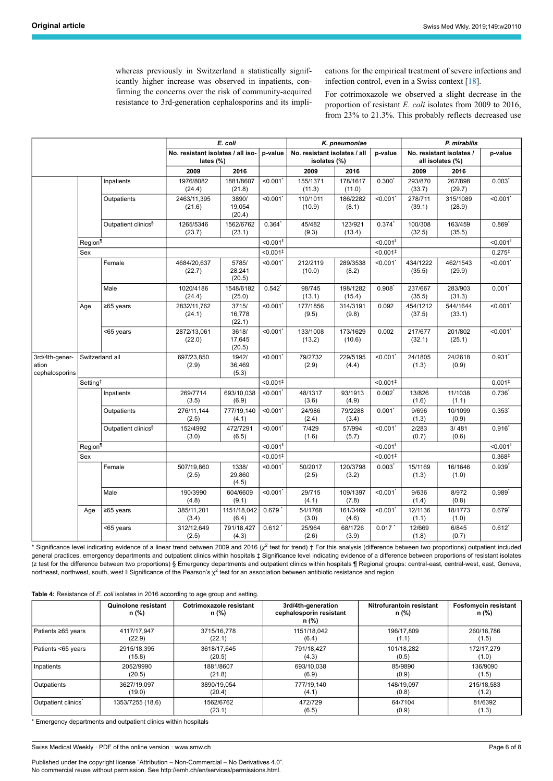whereas previously in Switzerland a statistically significantly higher increase was observed in inpatients, confirming the concerns over the risk of community-acquired resistance to 3rd-generation cephalosporins and its implications for the empirical treatment of severe infections and infection control, even in a Swiss context [\[18](#page-7-13)].

For cotrimoxazole we observed a slight decrease in the proportion of resistant *E. coli* isolates from 2009 to 2016, from 23% to 21.3%. This probably reflects decreased use

|                                           |                      |                                 | E. coli                                           |                           | K. pneumoniae           |                    |                                              | P. mirabilis            |                                              |                    |                         |
|-------------------------------------------|----------------------|---------------------------------|---------------------------------------------------|---------------------------|-------------------------|--------------------|----------------------------------------------|-------------------------|----------------------------------------------|--------------------|-------------------------|
|                                           |                      |                                 | No. resistant isolates / all iso-<br>lates $(\%)$ |                           | p-value                 |                    | No. resistant isolates / all<br>isolates (%) |                         | No. resistant isolates /<br>all isolates (%) |                    | p-value                 |
|                                           |                      |                                 | 2009                                              | 2016                      |                         | 2009               | 2016                                         |                         | 2009                                         | 2016               |                         |
|                                           |                      | Inpatients                      | 1976/8082<br>(24.4)                               | 1881/8607<br>(21.8)       | < 0.001                 | 155/1371<br>(11.3) | 178/1617<br>(11.0)                           | $0.300^*$               | 293/870<br>(33.7)                            | 267/898<br>(29.7)  | $0.003$ <sup>*</sup>    |
|                                           |                      | Outpatients                     | 2463/11,395<br>(21.6)                             | 3890/<br>19,054<br>(20.4) | $< 0.001$ *             | 110/1011<br>(10.9) | 186/2282<br>(8.1)                            | $< 0.001$ *             | 278/711<br>(39.1)                            | 315/1089<br>(28.9) | $< 0.001$ <sup>*</sup>  |
|                                           |                      | Outpatient clinics <sup>§</sup> | 1265/5346<br>(23.7)                               | 1562/6762<br>(23.1)       | 0.364'                  | 45/482<br>(9.3)    | 123/921<br>(13.4)                            | $0.374$ <sup>*</sup>    | 100/308<br>(32.5)                            | 163/459<br>(35.5)  | $0.869$ <sup>*</sup>    |
|                                           | Region <sup>¶</sup>  |                                 |                                                   |                           | $< 0.001$ <sup>II</sup> |                    |                                              | $< 0.001$ <sup>II</sup> |                                              |                    | $< 0.001$ <sup>II</sup> |
|                                           | Sex                  |                                 |                                                   |                           | $< 0.001$ <sup>#</sup>  |                    |                                              | $< 0.001$ <sup>#</sup>  |                                              |                    | $0.275^{+}$             |
|                                           |                      | Female                          | 4684/20.637<br>(22.7)                             | 5785/<br>28,241<br>(20.5) | < 0.001                 | 212/2119<br>(10.0) | 289/3538<br>(8.2)                            | < 0.001'                | 434/1222<br>(35.5)                           | 462/1543<br>(29.9) | $< 0.001$ <sup>*</sup>  |
|                                           |                      | Male                            | 1020/4186<br>(24.4)                               | 1548/6182<br>(25.0)       | $0.542^{*}$             | 98/745<br>(13.1)   | 198/1282<br>(15.4)                           | $0.908$ <sup>*</sup>    | 237/667<br>(35.5)                            | 283/903<br>(31.3)  | $0.001*$                |
|                                           | Age                  | ≥65 years                       | 2832/11,762<br>(24.1)                             | 3715/<br>16,778<br>(22.1) | < 0.001                 | 177/1856<br>(9.5)  | 314/3191<br>(9.8)                            | 0.092                   | 454/1212<br>(37.5)                           | 544/1644<br>(33.1) | $< 0.001$ *             |
|                                           |                      | <65 years                       | 2872/13,061<br>(22.0)                             | 3618/<br>17.645<br>(20.5) | < 0.001                 | 133/1008<br>(13.2) | 173/1629<br>(10.6)                           | 0.002                   | 217/677<br>(32.1)                            | 201/802<br>(25.1)  | $< 0.001$ <sup>*</sup>  |
| 3rd/4th-gener-<br>ation<br>cephalosporins |                      | Switzerland all                 | 697/23,850<br>(2.9)                               | 1942/<br>36,469<br>(5.3)  | $< 0.001$ <sup>*</sup>  | 79/2732<br>(2.9)   | 229/5195<br>(4.4)                            | < 0.001                 | 24/1805<br>(1.3)                             | 24/2618<br>(0.9)   | $0.931$ <sup>*</sup>    |
|                                           | Setting <sup>+</sup> |                                 |                                                   |                           | $< 0.001$ <sup>‡</sup>  |                    |                                              | $< 0.001$ <sup>‡</sup>  |                                              |                    | 0.001 <sup>‡</sup>      |
|                                           |                      | Inpatients                      | 269/7714<br>(3.5)                                 | 693/10,038<br>(6.9)       | < 0.001                 | 48/1317<br>(3.6)   | 93/1913<br>(4.9)                             | $0.002$ <sup>*</sup>    | 13/826<br>(1.6)                              | 11/1038<br>(1.1)   | $0.736^{*}$             |
|                                           |                      | Outpatients                     | 276/11,144<br>(2.5)                               | 777/19,140<br>(4.1)       | $< 0.001$ <sup>*</sup>  | 24/986<br>(2.4)    | 79/2288<br>(3.4)                             | $0.001$ <sup>*</sup>    | 9/696<br>(1.3)                               | 10/1099<br>(0.9)   | $0.353*$                |
|                                           |                      | Outpatient clinics <sup>§</sup> | 152/4992<br>(3.0)                                 | 472/7291<br>(6.5)         | < 0.001                 | 7/429<br>(1.6)     | 57/994<br>(5.7)                              | $<$ 0.001 $^{\prime}$   | 2/283<br>(0.7)                               | 3/481<br>(0.6)     | $0.916^{*}$             |
|                                           | Region <sup>¶</sup>  |                                 |                                                   |                           | $< 0.001$ <sup>II</sup> |                    |                                              | $< 0.001$ <sup>II</sup> |                                              |                    | $< 0.001$ <sup>II</sup> |
|                                           | Sex                  |                                 |                                                   |                           | $< 0.001$ <sup>‡</sup>  |                    |                                              | $< 0.001$ <sup>‡</sup>  |                                              |                    | 0.368 <sup>‡</sup>      |
|                                           |                      | Female                          | 507/19,860<br>(2.5)                               | 1338/<br>29,860<br>(4.5)  | < 0.001                 | 50/2017<br>(2.5)   | 120/3798<br>(3.2)                            | $0.003^*$               | 15/1169<br>(1.3)                             | 16/1646<br>(1.0)   | $0.939^{*}$             |
|                                           |                      | Male                            | 190/3990<br>(4.8)                                 | 604/6609<br>(9.1)         | < 0.001                 | 29/715<br>(4.1)    | 109/1397<br>(7.8)                            | < 0.001'                | 9/636<br>(1.4)                               | 8/972<br>(0.8)     | $0.989$ <sup>*</sup>    |
|                                           | Age                  | ≥65 years                       | 385/11,201<br>(3.4)                               | 1151/18,042<br>(6.4)      | 0.679'                  | 54/1768<br>(3.0)   | 161/3469<br>(4.6)                            | < 0.001'                | 12/1136<br>(1.1)                             | 18/1773<br>(1.0)   | $0.679^{*}$             |
|                                           |                      | <65 years                       | 312/12,649<br>(2.5)                               | 791/18,427<br>(4.3)       | 0.612'                  | 25/964<br>(2.6)    | 68/1726<br>(3.9)                             | 0.017'                  | 12/669<br>(1.8)                              | 6/845<br>(0.7)     | $0.612^{*}$             |

\* Significance level indicating evidence of a linear trend between 2009 and 2016 (*χ*<sup>2</sup> test for trend) † For this analysis (difference between two proportions) outpatient included general practices, emergency departments and outpatient clinics within hospitals ‡ Significance level indicating evidence of a difference between proportions of resistant isolates (z test for the difference between two proportions) § Emergency departments and outpatient clinics within hospitals ¶ Regional groups: central-east, central-west, east, Geneva, northeast, northwest, south, west II Significance of the Pearson's  $\chi^2$  test for an association between antibiotic resistance and region

<span id="page-5-0"></span>**Table 4:** Resistance of *E. coli* isolates in 2016 according to age group and setting.

|                                 | <b>Quinolone resistant</b><br>n (%) | Cotrimoxazole resistant<br>n (%) | 3rd/4th-generation<br>cephalosporin resistant<br>n (%) | Nitrofurantoin resistant<br>n (%) | <b>Fosfomycin resistant</b><br>n (%) |
|---------------------------------|-------------------------------------|----------------------------------|--------------------------------------------------------|-----------------------------------|--------------------------------------|
| Patients ≥65 years              | 4117/17.947                         | 3715/16.778                      | 1151/18.042                                            | 196/17.809                        | 260/16.786                           |
|                                 | (22.9)                              | (22.1)                           | (6.4)                                                  | (1.1)                             | (1.5)                                |
| Patients <65 years              | 2915/18.395                         | 3618/17.645                      | 791/18.427                                             | 101/18.282                        | 172/17.279                           |
|                                 | (15.8)                              | (20.5)                           | (4.3)                                                  | (0.5)                             | (1.0)                                |
| Inpatients                      | 2052/9990                           | 1881/8607                        | 693/10.038                                             | 85/9890                           | 136/9090                             |
|                                 | (20.5)                              | (21.8)                           | (6.9)                                                  | (0.9)                             | (1.5)                                |
| <b>Outpatients</b>              | 3627/19.097                         | 3890/19.054                      | 777/19.140                                             | 148/19.097                        | 215/18.583                           |
|                                 | (19.0)                              | (20.4)                           | (4.1)                                                  | (0.8)                             | (1.2)                                |
| Outpatient clinics <sup>*</sup> | 1353/7255 (18.6)                    | 1562/6762<br>(23.1)              | 472/729<br>(6.5)                                       | 64/7104<br>(0.9)                  | 81/6392<br>(1.3)                     |

\* Emergency departments and outpatient clinics within hospitals

Swiss Medical Weekly · PDF of the online version · www.smw.ch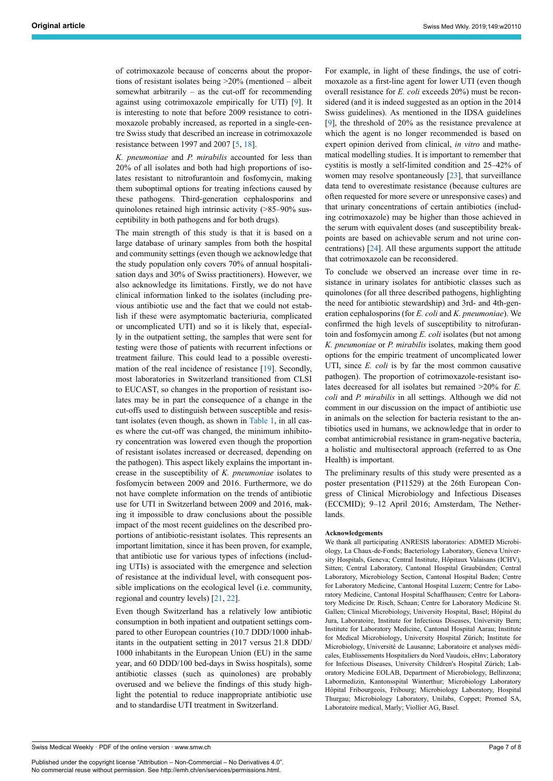of cotrimoxazole because of concerns about the proportions of resistant isolates being >20% (mentioned – albeit somewhat arbitrarily – as the cut-off for recommending against using cotrimoxazole empirically for UTI) [[9](#page-7-6)]. It is interesting to note that before 2009 resistance to cotrimoxazole probably increased, as reported in a single-centre Swiss study that described an increase in cotrimoxazole resistance between 1997 and 2007 [\[5,](#page-7-3) [18](#page-7-13)].

*K. pneumoniae* and *P. mirabilis* accounted for less than 20% of all isolates and both had high proportions of isolates resistant to nitrofurantoin and fosfomycin, making them suboptimal options for treating infections caused by these pathogens. Third-generation cephalosporins and quinolones retained high intrinsic activity (>85–90% susceptibility in both pathogens and for both drugs).

The main strength of this study is that it is based on a large database of urinary samples from both the hospital and community settings (even though we acknowledge that the study population only covers 70% of annual hospitalisation days and 30% of Swiss practitioners). However, we also acknowledge its limitations. Firstly, we do not have clinical information linked to the isolates (including previous antibiotic use and the fact that we could not establish if these were asymptomatic bacteriuria, complicated or uncomplicated UTI) and so it is likely that, especially in the outpatient setting, the samples that were sent for testing were those of patients with recurrent infections or treatment failure. This could lead to a possible overestimation of the real incidence of resistance [\[19](#page-7-14)]. Secondly, most laboratories in Switzerland transitioned from CLSI to EUCAST, so changes in the proportion of resistant isolates may be in part the consequence of a change in the cut-offs used to distinguish between susceptible and resistant isolates (even though, as shown in [Table 1](#page-1-0), in all cases where the cut-off was changed, the minimum inhibitory concentration was lowered even though the proportion of resistant isolates increased or decreased, depending on the pathogen). This aspect likely explains the important increase in the susceptibility of *K. pneumoniae* isolates to fosfomycin between 2009 and 2016. Furthermore, we do not have complete information on the trends of antibiotic use for UTI in Switzerland between 2009 and 2016, making it impossible to draw conclusions about the possible impact of the most recent guidelines on the described proportions of antibiotic-resistant isolates. This represents an important limitation, since it has been proven, for example, that antibiotic use for various types of infections (including UTIs) is associated with the emergence and selection of resistance at the individual level, with consequent possible implications on the ecological level (i.e. community, regional and country levels) [[21,](#page-7-17) [22](#page-7-18)].

Even though Switzerland has a relatively low antibiotic consumption in both inpatient and outpatient settings compared to other European countries (10.7 DDD/1000 inhabitants in the outpatient setting in 2017 versus 21.8 DDD/ 1000 inhabitants in the European Union (EU) in the same year, and 60 DDD/100 bed-days in Swiss hospitals), some antibiotic classes (such as quinolones) are probably overused and we believe the findings of this study highlight the potential to reduce inappropriate antibiotic use and to standardise UTI treatment in Switzerland.

For example, in light of these findings, the use of cotrimoxazole as a first-line agent for lower UTI (even though overall resistance for *E. coli* exceeds 20%) must be reconsidered (and it is indeed suggested as an option in the 2014 Swiss guidelines). As mentioned in the IDSA guidelines [\[9\]](#page-7-6), the threshold of 20% as the resistance prevalence at which the agent is no longer recommended is based on expert opinion derived from clinical, *in vitro* and mathematical modelling studies. It is important to remember that cystitis is mostly a self-limited condition and 25–42% of women may resolve spontaneously [\[23](#page-7-19)], that surveillance data tend to overestimate resistance (because cultures are often requested for more severe or unresponsive cases) and that urinary concentrations of certain antibiotics (including cotrimoxazole) may be higher than those achieved in the serum with equivalent doses (and susceptibility breakpoints are based on achievable serum and not urine concentrations) [\[24](#page-7-20)]. All these arguments support the attitude that cotrimoxazole can be reconsidered.

To conclude we observed an increase over time in resistance in urinary isolates for antibiotic classes such as quinolones (for all three described pathogens, highlighting the need for antibiotic stewardship) and 3rd- and 4th-generation cephalosporins (for *E. coli* and *K. pneumoniae*). We confirmed the high levels of susceptibility to nitrofurantoin and fosfomycin among *E. coli* isolates (but not among *K. pneumoniae* or *P. mirabilis* isolates, making them good options for the empiric treatment of uncomplicated lower UTI, since *E. coli* is by far the most common causative pathogen). The proportion of cotrimoxazole-resistant isolates decreased for all isolates but remained >20% for *E. coli* and *P. mirabilis* in all settings. Although we did not comment in our discussion on the impact of antibiotic use in animals on the selection for bacteria resistant to the antibiotics used in humans, we acknowledge that in order to combat antimicrobial resistance in gram-negative bacteria, a holistic and multisectoral approach (referred to as One Health) is important.

The preliminary results of this study were presented as a poster presentation (P11529) at the 26th European Congress of Clinical Microbiology and Infectious Diseases (ECCMID); 9–12 April 2016; Amsterdam, The Netherlands.

#### **Acknowledgements**

We thank all participating ANRESIS laboratories: ADMED Microbiology, La Chaux-de-Fonds; Bacteriology Laboratory, Geneva University Hospitals, Geneva; Central Institute, Hôpitaux Valaisans (ICHV), Sitten; Central Laboratory, Cantonal Hospital Graubünden; Central Laboratory, Microbiology Section, Cantonal Hospital Baden; Centre for Laboratory Medicine, Cantonal Hospital Luzern; Centre for Laboratory Medicine, Cantonal Hospital Schaffhausen; Centre for Laboratory Medicine Dr. Risch, Schaan; Centre for Laboratory Medicine St. Gallen; Clinical Microbiology, University Hospital, Basel; Hôpital du Jura, Laboratoire, Institute for Infectious Diseases, University Bern; Institute for Laboratory Medicine, Cantonal Hospital Aarau; Institute for Medical Microbiology, University Hospital Zürich; Institute for Microbiology, Université de Lausanne; Laboratoire et analyses médicales, Etablissements Hospitaliers du Nord Vaudois, eHnv; Laboratory for Infectious Diseases, University Children's Hospital Zürich; Laboratory Medicine EOLAB, Department of Microbiology, Bellinzona; Labormedizin, Kantonsspital Winterthur; Microbiology Laboratory Hôpital Fribourgeois, Fribourg; Microbiology Laboratory, Hospital Thurgau; Microbiology Laboratory, Unilabs, Coppet; Promed SA, Laboratoire medical, Marly; Viollier AG, Basel.

Swiss Medical Weekly · PDF of the online version · www.smw.ch